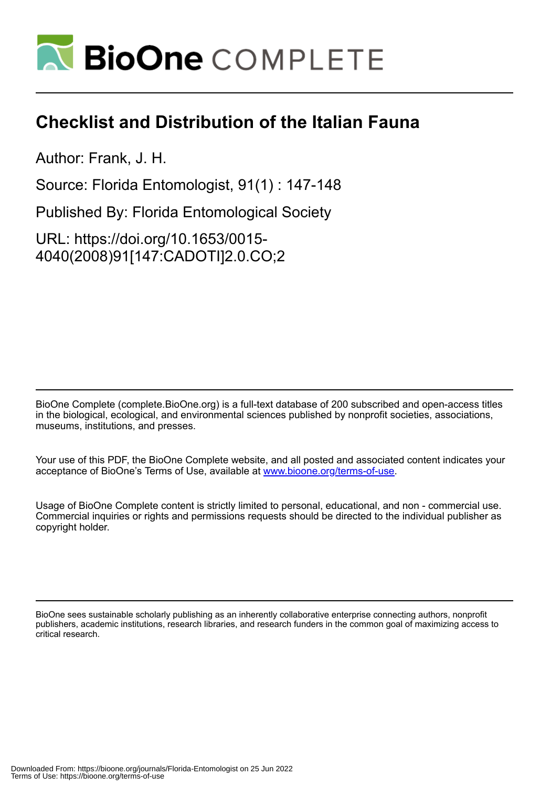

## **Checklist and Distribution of the Italian Fauna**

Author: Frank, J. H.

Source: Florida Entomologist, 91(1) : 147-148

Published By: Florida Entomological Society

URL: https://doi.org/10.1653/0015- 4040(2008)91[147:CADOTI]2.0.CO;2

BioOne Complete (complete.BioOne.org) is a full-text database of 200 subscribed and open-access titles in the biological, ecological, and environmental sciences published by nonprofit societies, associations, museums, institutions, and presses.

Your use of this PDF, the BioOne Complete website, and all posted and associated content indicates your acceptance of BioOne's Terms of Use, available at www.bioone.org/terms-of-use.

Usage of BioOne Complete content is strictly limited to personal, educational, and non - commercial use. Commercial inquiries or rights and permissions requests should be directed to the individual publisher as copyright holder.

BioOne sees sustainable scholarly publishing as an inherently collaborative enterprise connecting authors, nonprofit publishers, academic institutions, research libraries, and research funders in the common goal of maximizing access to critical research.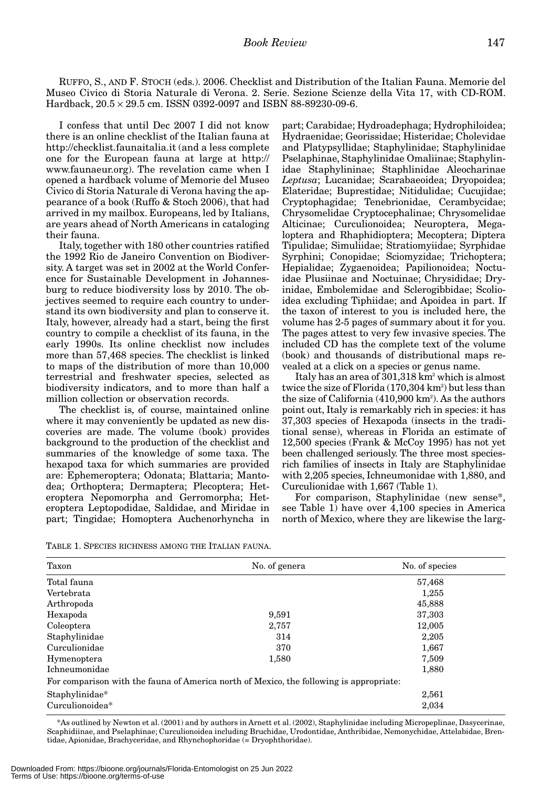RUFFO, S., AND F. STOCH (eds.). 2006. Checklist and Distribution of the Italian Fauna. Memorie del Museo Civico di Storia Naturale di Verona. 2. Serie. Sezione Scienze della Vita 17, with CD-ROM. Hardback, 20.5 × 29.5 cm. ISSN 0392-0097 and ISBN 88-89230-09-6.

I confess that until Dec 2007 I did not know there is an online checklist of the Italian fauna at http://checklist.faunaitalia.it (and a less complete one for the European fauna at large at http:// www.faunaeur.org). The revelation came when I opened a hardback volume of Memorie del Museo Civico di Storia Naturale di Verona having the appearance of a book (Ruffo & Stoch 2006), that had arrived in my mailbox. Europeans, led by Italians, are years ahead of North Americans in cataloging their fauna.

Italy, together with 180 other countries ratified the 1992 Rio de Janeiro Convention on Biodiversity. A target was set in 2002 at the World Conference for Sustainable Development in Johannesburg to reduce biodiversity loss by 2010. The objectives seemed to require each country to understand its own biodiversity and plan to conserve it. Italy, however, already had a start, being the first country to compile a checklist of its fauna, in the early 1990s. Its online checklist now includes more than 57,468 species. The checklist is linked to maps of the distribution of more than 10,000 terrestrial and freshwater species, selected as biodiversity indicators, and to more than half a million collection or observation records.

The checklist is, of course, maintained online where it may conveniently be updated as new discoveries are made. The volume (book) provides background to the production of the checklist and summaries of the knowledge of some taxa. The hexapod taxa for which summaries are provided are: Ephemeroptera; Odonata; Blattaria; Mantodea; Orthoptera; Dermaptera; Plecoptera; Heteroptera Nepomorpha and Gerromorpha; Heteroptera Leptopodidae, Saldidae, and Miridae in part; Tingidae; Homoptera Auchenorhyncha in

part; Carabidae; Hydroadephaga; Hydrophiloidea; Hydraenidae; Georissidae; Histeridae; Cholevidae and Platypsyllidae; Staphylinidae; Staphylinidae Pselaphinae, Staphylinidae Omaliinae; Staphylinidae Staphylininae; Staphlinidae Aleocharinae *Leptusa*; Lucanidae; Scarabaeoidea; Dryopoidea; Elateridae; Buprestidae; Nitidulidae; Cucujidae; Cryptophagidae; Tenebrionidae, Cerambycidae; Chrysomelidae Cryptocephalinae; Chrysomelidae Alticinae; Curculionoidea; Neuroptera, Megaloptera and Rhaphidioptera; Mecoptera; Diptera Tipulidae; Simuliidae; Stratiomyiidae; Syrphidae Syrphini; Conopidae; Sciomyzidae; Trichoptera; Hepialidae; Zygaenoidea; Papilionoidea; Noctuidae Plusiinae and Noctuinae; Chrysididae; Dryinidae, Embolemidae and Sclerogibbidae; Scolioidea excluding Tiphiidae; and Apoidea in part. If the taxon of interest to you is included here, the volume has 2-5 pages of summary about it for you. The pages attest to very few invasive species. The included CD has the complete text of the volume (book) and thousands of distributional maps revealed at a click on a species or genus name.

Italy has an area of 301,318 km<sup>2</sup> which is almost twice the size of Florida (170,304 km<sup>2</sup>) but less than the size of California (410,900 km<sup>2</sup>). As the authors point out, Italy is remarkably rich in species: it has 37,303 species of Hexapoda (insects in the traditional sense), whereas in Florida an estimate of 12,500 species (Frank & McCoy 1995) has not yet been challenged seriously. The three most speciesrich families of insects in Italy are Staphylinidae with 2,205 species, Ichneumonidae with 1,880, and Curculionidae with 1,667 (Table 1).

For comparison, Staphylinidae (new sense\*, see Table 1) have over 4,100 species in America north of Mexico, where they are likewise the larg-

TABLE 1. SPECIES RICHNESS AMONG THE ITALIAN FAUNA.

| Taxon                                                                                   | No. of genera | No. of species |
|-----------------------------------------------------------------------------------------|---------------|----------------|
| Total fauna                                                                             |               | 57,468         |
| Vertebrata                                                                              |               | 1,255          |
| Arthropoda                                                                              |               | 45,888         |
| Hexapoda                                                                                | 9,591         | 37,303         |
| Coleoptera                                                                              | 2,757         | 12,005         |
| Staphylinidae                                                                           | 314           | 2,205          |
| Curculionidae                                                                           | 370           | 1,667          |
| Hymenoptera                                                                             | 1,580         | 7,509          |
| <b>Ichneumonidae</b>                                                                    |               | 1,880          |
| For comparison with the fauna of America north of Mexico, the following is appropriate: |               |                |
| Staphylinidae*                                                                          |               | 2,561          |
| Curculionoidea*                                                                         |               | 2,034          |

\*As outlined by Newton et al. (2001) and by authors in Arnett et al. (2002), Staphylinidae including Micropeplinae, Dasycerinae, Scaphidiinae, and Pselaphinae; Curculionoidea including Bruchidae, Urodontidae, Anthribidae, Nemonychidae, Attelabidae, Brentidae, Apionidae, Brachyceridae, and Rhynchophoridae (= Dryophthoridae).